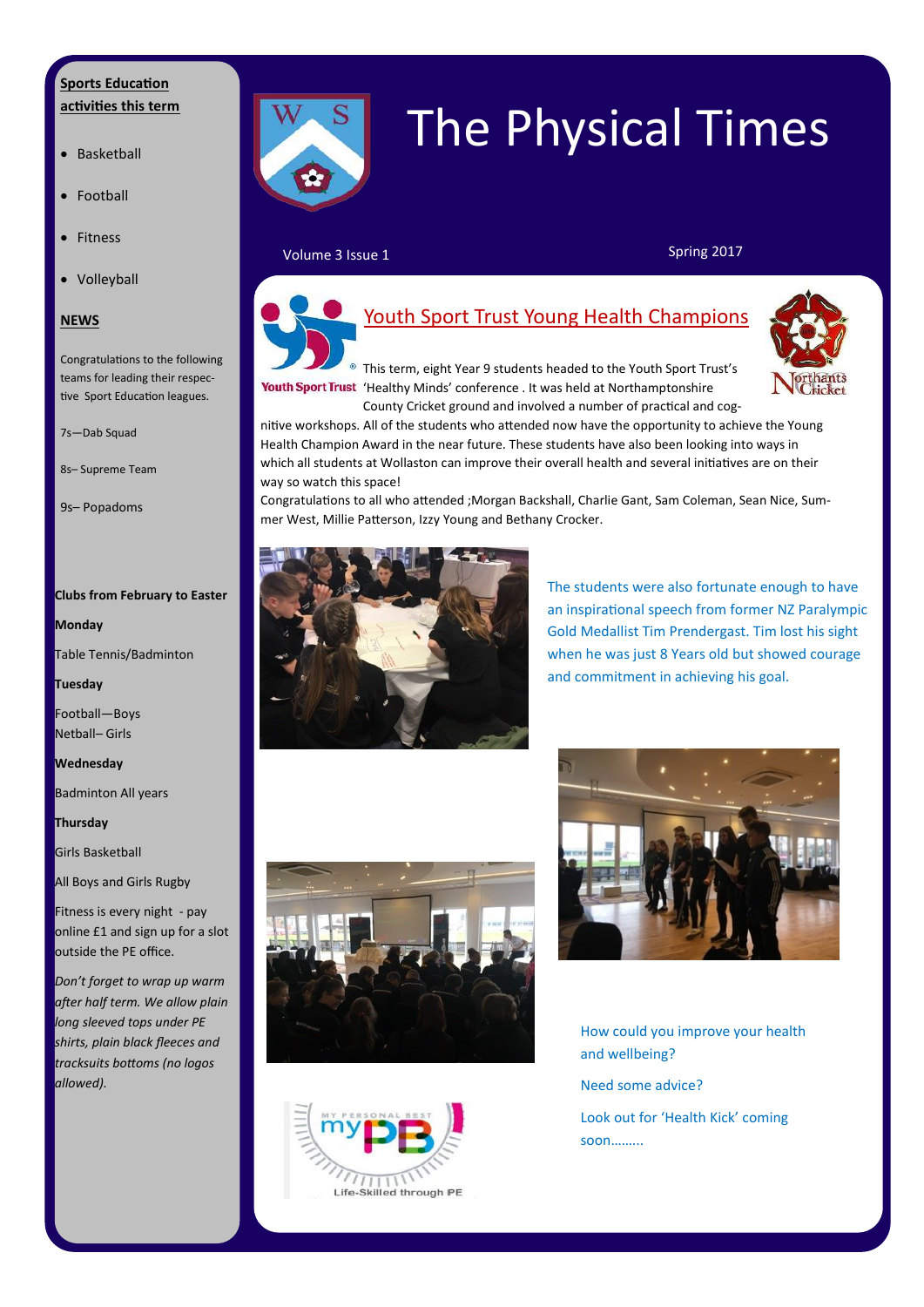## **Sports Education activities this term**

# Basketball

- Football
- Fitness
- Volleyball

#### **NEWS**

Congratulations to the following teams for leading their respective Sport Education leagues.

7s—Dab Squad

8s– Supreme Team

9s– Popadoms

#### **Clubs from February to Easter**

**Monday** 

Table Tennis/Badminton

#### **Tuesday**

Football—Boys Netball– Girls

### **Wednesday**

Badminton All years

**Thursday** 

Girls Basketball

**All Boys and Girls Rugby** 

Fitness is every night - pay online £1 and sign up for a slot outside the PE office.

*Don't forget to wrap up warm after half term. We allow plain long sleeved tops under PE shirts, plain black fleeces and tracksuits bottoms (no logos allowed).* 



# The Physical Times

Volume 3 Issue 1 Spring 2017

Youth Sport Trust Young Health Champions This term, eight Year 9 students headed to the Youth Sport Trust's



Youth Sport Trust 'Healthy Minds' conference . It was held at Northamptonshire County Cricket ground and involved a number of practical and cog-

nitive workshops. All of the students who attended now have the opportunity to achieve the Young Health Champion Award in the near future. These students have also been looking into ways in which all students at Wollaston can improve their overall health and several initiatives are on their way so watch this space!

Ĩ

Congratulations to all who attended ;Morgan Backshall, Charlie Gant, Sam Coleman, Sean Nice, Summer West, Millie Patterson, Izzy Young and Bethany Crocker.



The students were also fortunate enough to have an inspirational speech from former NZ Paralympic Gold Medallist Tim Prendergast. Tim lost his sight when he was just 8 Years old but showed courage and commitment in achieving his goal.





How could you improve your health and wellbeing?

Need some advice?

Look out for 'Health Kick' coming soon……...

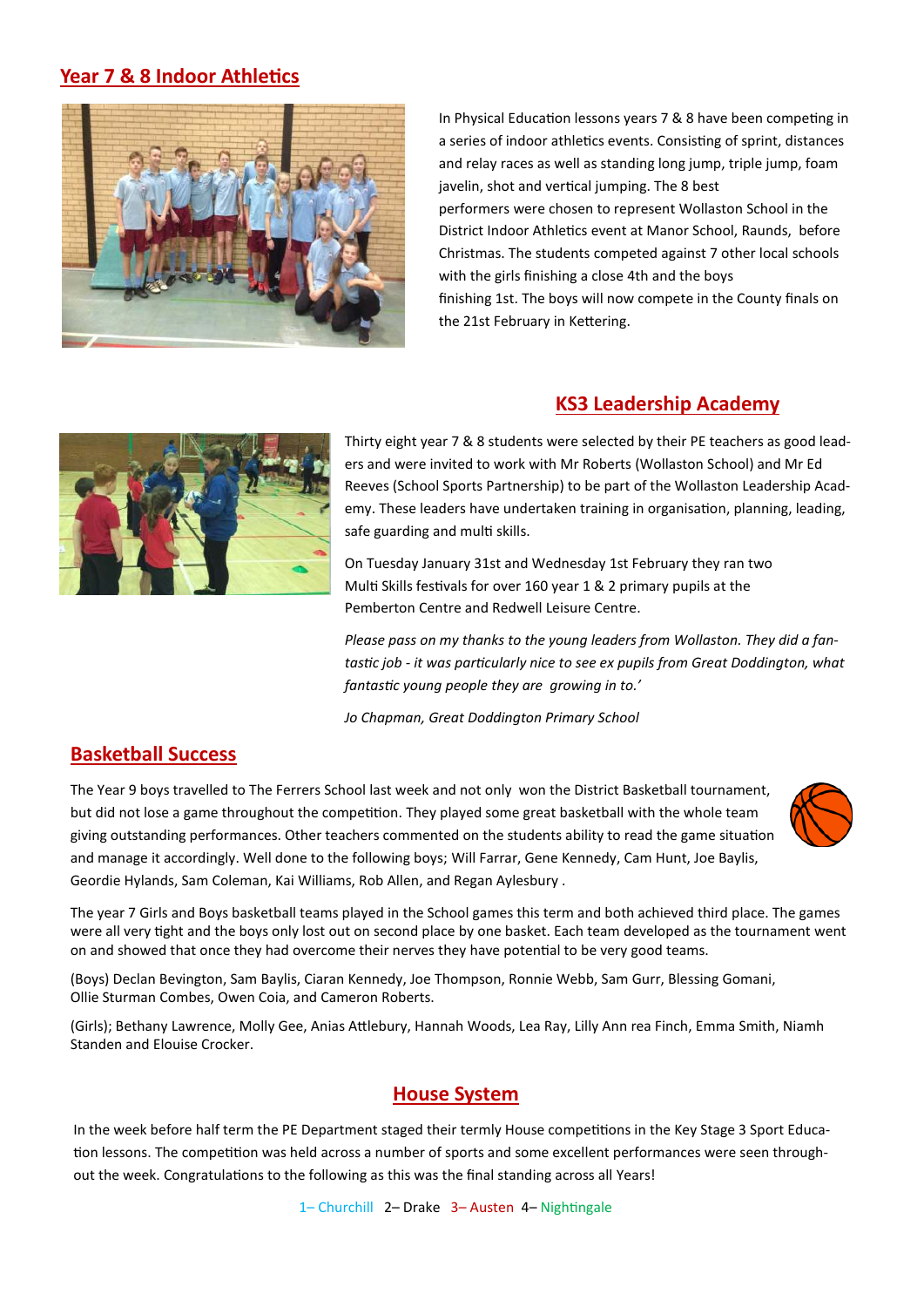# **Year 7 & 8 Indoor Athletics**



In Physical Education lessons years 7 & 8 have been competing in a series of indoor athletics events. Consisting of sprint, distances and relay races as well as standing long jump, triple jump, foam javelin, shot and vertical jumping. The 8 best performers were chosen to represent Wollaston School in the District Indoor Athletics event at Manor School, Raunds, before Christmas. The students competed against 7 other local schools with the girls finishing a close 4th and the boys finishing 1st. The boys will now compete in the County finals on the 21st February in Kettering.

# **KS3 Leadership Academy**



Thirty eight year 7 & 8 students were selected by their PE teachers as good leaders and were invited to work with Mr Roberts (Wollaston School) and Mr Ed Reeves (School Sports Partnership) to be part of the Wollaston Leadership Academy. These leaders have undertaken training in organisation, planning, leading, safe guarding and multi skills.

On Tuesday January 31st and Wednesday 1st February they ran two Multi Skills festivals for over 160 year 1 & 2 primary pupils at the Pemberton Centre and Redwell Leisure Centre.

*Please pass on my thanks to the young leaders from Wollaston. They did a fantastic job - it was particularly nice to see ex pupils from Great Doddington, what fantastic young people they are growing in to.'*

*Jo Chapman, Great Doddington Primary School* 

## **Basketball Success**

The Year 9 boys travelled to The Ferrers School last week and not only won the District Basketball tournament, but did not lose a game throughout the competition. They played some great basketball with the whole team giving outstanding performances. Other teachers commented on the students ability to read the game situation and manage it accordingly. Well done to the following boys; Will Farrar, Gene Kennedy, Cam Hunt, Joe Baylis, Geordie Hylands, Sam Coleman, Kai Williams, Rob Allen, and Regan Aylesbury .



The year 7 Girls and Boys basketball teams played in the School games this term and both achieved third place. The games were all very tight and the boys only lost out on second place by one basket. Each team developed as the tournament went on and showed that once they had overcome their nerves they have potential to be very good teams.

(Boys) Declan Bevington, Sam Baylis, Ciaran Kennedy, Joe Thompson, Ronnie Webb, Sam Gurr, Blessing Gomani, Ollie Sturman Combes, Owen Coia, and Cameron Roberts.

(Girls); Bethany Lawrence, Molly Gee, Anias Attlebury, Hannah Woods, Lea Ray, Lilly Ann rea Finch, Emma Smith, Niamh Standen and Elouise Crocker.

# **House System**

In the week before half term the PE Department staged their termly House competitions in the Key Stage 3 Sport Education lessons. The competition was held across a number of sports and some excellent performances were seen throughout the week. Congratulations to the following as this was the final standing across all Years!

1– Churchill 2– Drake 3– Austen 4– Nightingale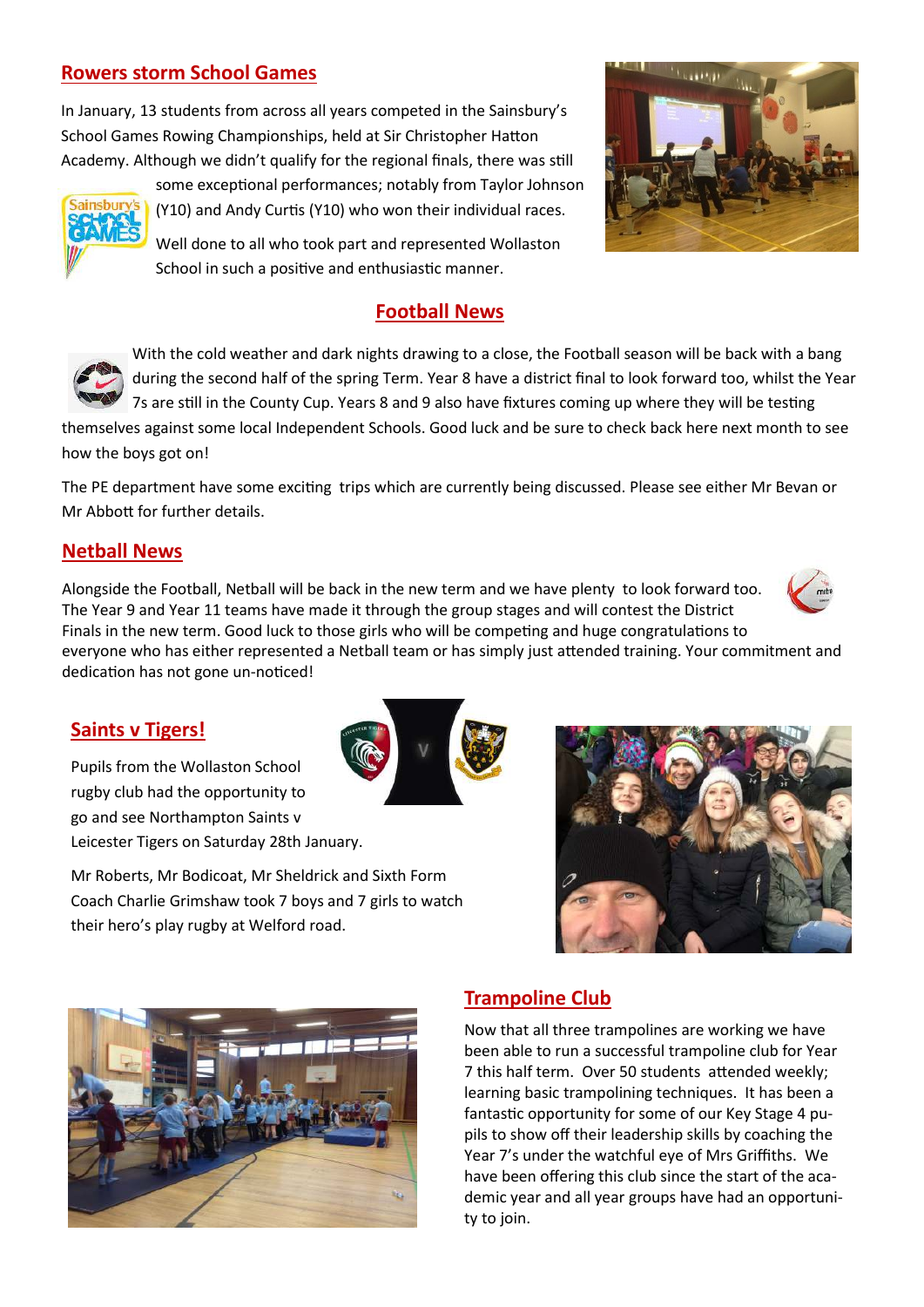# **Rowers storm School Games**

In January, 13 students from across all years competed in the Sainsbury's School Games Rowing Championships, held at Sir Christopher Hatton Academy. Although we didn't qualify for the regional finals, there was still

some exceptional performances; notably from Taylor Johnson (Y10) and Andy Curtis (Y10) who won their individual races.

Well done to all who took part and represented Wollaston School in such a positive and enthusiastic manner.

# **Football News**

With the cold weather and dark nights drawing to a close, the Football season will be back with a bang during the second half of the spring Term. Year 8 have a district final to look forward too, whilst the Year 7s are still in the County Cup. Years 8 and 9 also have fixtures coming up where they will be testing

themselves against some local Independent Schools. Good luck and be sure to check back here next month to see how the boys got on!

The PE department have some exciting trips which are currently being discussed. Please see either Mr Bevan or Mr Abbott for further details.

# **Netball News**

Alongside the Football, Netball will be back in the new term and we have plenty to look forward too. The Year 9 and Year 11 teams have made it through the group stages and will contest the District Finals in the new term. Good luck to those girls who will be competing and huge congratulations to everyone who has either represented a Netball team or has simply just attended training. Your commitment and dedication has not gone un-noticed!

# **Saints v Tigers!**

Pupils from the Wollaston School rugby club had the opportunity to go and see Northampton Saints v Leicester Tigers on Saturday 28th January.

Mr Roberts, Mr Bodicoat, Mr Sheldrick and Sixth Form Coach Charlie Grimshaw took 7 boys and 7 girls to watch their hero's play rugby at Welford road.



Now that all three trampolines are working we have been able to run a successful trampoline club for Year 7 this half term. Over 50 students attended weekly; learning basic trampolining techniques. It has been a fantastic opportunity for some of our Key Stage 4 pupils to show off their leadership skills by coaching the Year 7's under the watchful eye of Mrs Griffiths. We have been offering this club since the start of the academic year and all year groups have had an opportunity to join.